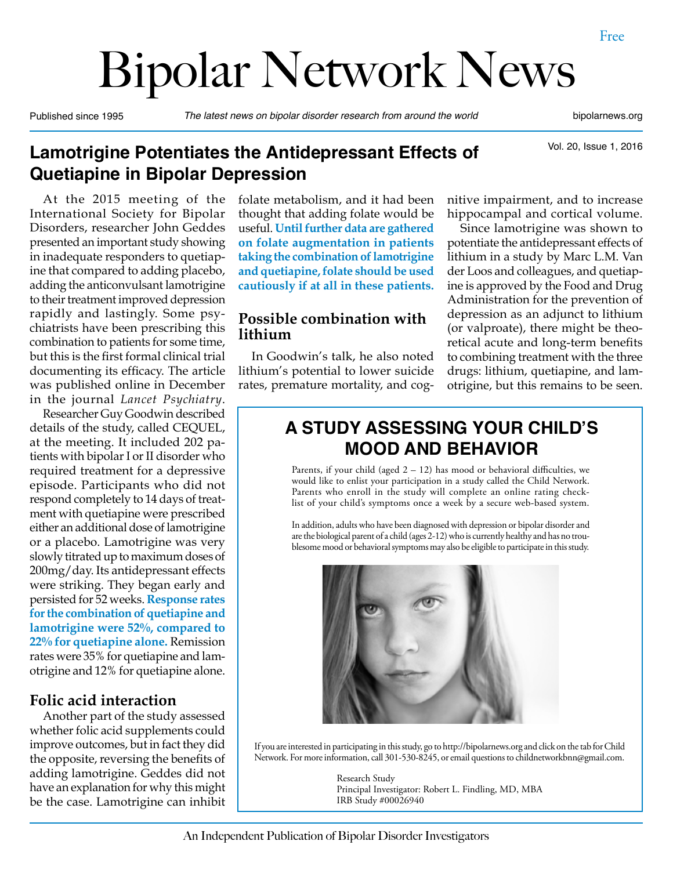# Bipolar Network News

Published since 1995 *The latest news on bipolar disorder research from around the world* bipolarnews.org

Vol. 20, Issue 1, 2016

#### **Lamotrigine Potentiates the Antidepressant Effects of Quetiapine in Bipolar Depression**

At the 2015 meeting of the International Society for Bipolar Disorders, researcher John Geddes presented an important study showing in inadequate responders to quetiapine that compared to adding placebo, adding the anticonvulsant lamotrigine to their treatment improved depression rapidly and lastingly. Some psychiatrists have been prescribing this combination to patients for some time, but this is the first formal clinical trial documenting its efficacy. The article was published online in December in the journal *Lancet Psychiatry*.

Researcher Guy Goodwin described details of the study, called CEQUEL, at the meeting. It included 202 patients with bipolar I or II disorder who required treatment for a depressive episode. Participants who did not respond completely to 14 days of treatment with quetiapine were prescribed either an additional dose of lamotrigine or a placebo. Lamotrigine was very slowly titrated up to maximum doses of 200mg/day. Its antidepressant effects were striking. They began early and persisted for 52 weeks. **Response rates for the combination of quetiapine and lamotrigine were 52%, compared to 22% for quetiapine alone.** Remission rates were 35% for quetiapine and lamotrigine and 12% for quetiapine alone.

#### **Folic acid interaction**

Another part of the study assessed whether folic acid supplements could improve outcomes, but in fact they did the opposite, reversing the benefits of adding lamotrigine. Geddes did not have an explanation for why this might be the case. Lamotrigine can inhibit folate metabolism, and it had been thought that adding folate would be useful. **Until further data are gathered on folate augmentation in patients taking the combination of lamotrigine and quetiapine, folate should be used cautiously if at all in these patients.**

#### **Possible combination with lithium**

In Goodwin's talk, he also noted lithium's potential to lower suicide rates, premature mortality, and cognitive impairment, and to increase hippocampal and cortical volume.

Since lamotrigine was shown to potentiate the antidepressant effects of lithium in a study by Marc L.M. Van der Loos and colleagues, and quetiapine is approved by the Food and Drug Administration for the prevention of depression as an adjunct to lithium (or valproate), there might be theoretical acute and long-term benefits to combining treatment with the three drugs: lithium, quetiapine, and lamotrigine, but this remains to be seen.

#### **A STUDY ASSESSING YOUR CHILD'S MOOD AND BEHAVIOR**

Parents, if your child (aged  $2 - 12$ ) has mood or behavioral difficulties, we would like to enlist your participation in a study called the Child Network. Parents who enroll in the study will complete an online rating checklist of your child's symptoms once a week by a secure web-based system.

In addition, adults who have been diagnosed with depression or bipolar disorder and are the biological parent of a child (ages 2-12) who is currently healthy and has no troublesome mood or behavioral symptoms may also be eligible to participate in this study.



If you are interested in participating in this study, go to http://bipolarnews.org and click on the tab for Child Network. For more information, call 301-530-8245, or email questions to childnetworkbnn@gmail.com.

> Research Study Principal Investigator: Robert L. Findling, MD, MBA IRB Study #00026940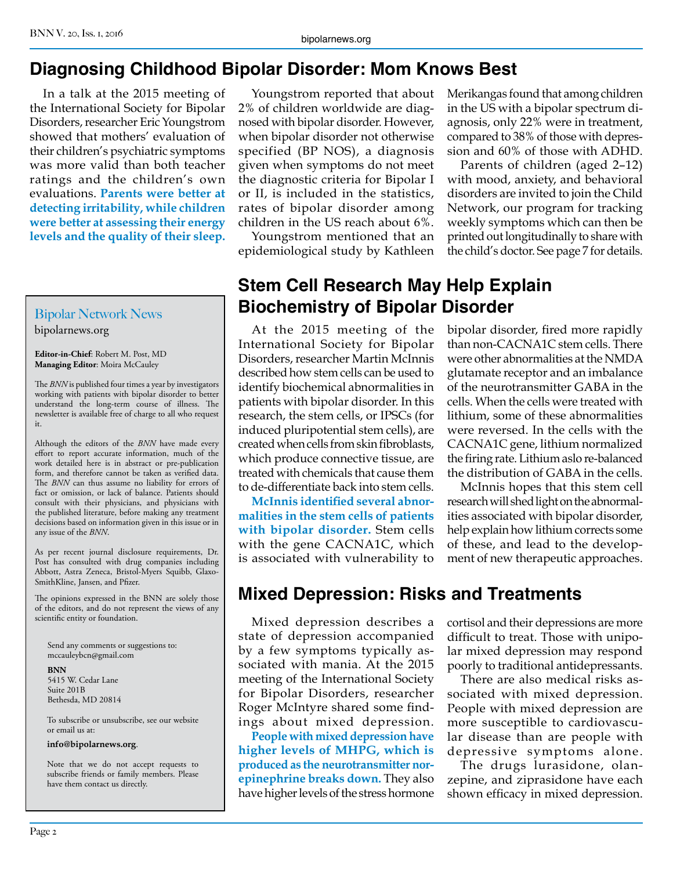#### **Diagnosing Childhood Bipolar Disorder: Mom Knows Best**

In a talk at the 2015 meeting of the International Society for Bipolar Disorders, researcher Eric Youngstrom showed that mothers' evaluation of their children's psychiatric symptoms was more valid than both teacher ratings and the children's own evaluations. **Parents were better at detecting irritability, while children were better at assessing their energy levels and the quality of their sleep.**

#### Bipolar Network News bipolarnews.org

**Editor-in-Chief**: Robert M. Post, MD **Managing Editor**: Moira McCauley

The *BNN* is published four times a year by investigators working with patients with bipolar disorder to better understand the long-term course of illness. The newsletter is available free of charge to all who request it.

Although the editors of the *BNN* have made every effort to report accurate information, much of the work detailed here is in abstract or pre-publication form, and therefore cannot be taken as verified data. The *BNN* can thus assume no liability for errors of fact or omission, or lack of balance. Patients should consult with their physicians, and physicians with the published literature, before making any treatment decisions based on information given in this issue or in any issue of the *BNN*.

As per recent journal disclosure requirements, Dr. Post has consulted with drug companies including Abbott, Astra Zeneca, Bristol-Myers Squibb, Glaxo-SmithKline, Jansen, and Pfizer.

The opinions expressed in the BNN are solely those of the editors, and do not represent the views of any scientific entity or foundation.

Send any comments or suggestions to: mccauleybcn@gmail.com

#### **BNN** 5415 W. Cedar Lane Suite 201B Bethesda, MD 20814

To subscribe or unsubscribe, see our website or email us at:

**info@bipolarnews.org**.

Note that we do not accept requests to subscribe friends or family members. Please have them contact us directly.

Youngstrom reported that about 2% of children worldwide are diagnosed with bipolar disorder. However, when bipolar disorder not otherwise specified (BP NOS), a diagnosis given when symptoms do not meet the diagnostic criteria for Bipolar I or II, is included in the statistics, rates of bipolar disorder among children in the US reach about 6%.

Youngstrom mentioned that an epidemiological study by Kathleen Merikangas found that among children in the US with a bipolar spectrum diagnosis, only 22% were in treatment, compared to 38% of those with depression and 60% of those with ADHD.

Parents of children (aged 2–12) with mood, anxiety, and behavioral disorders are invited to join the Child Network, our program for tracking weekly symptoms which can then be printed out longitudinally to share with the child's doctor. See page 7 for details.

#### **Stem Cell Research May Help Explain Biochemistry of Bipolar Disorder**

At the 2015 meeting of the International Society for Bipolar Disorders, researcher Martin McInnis described how stem cells can be used to identify biochemical abnormalities in patients with bipolar disorder. In this research, the stem cells, or IPSCs (for induced pluripotential stem cells), are created when cells from skin fibroblasts, which produce connective tissue, are treated with chemicals that cause them to de-differentiate back into stem cells.

**McInnis identified several abnormalities in the stem cells of patients with bipolar disorder.** Stem cells with the gene CACNA1C, which is associated with vulnerability to bipolar disorder, fired more rapidly than non-CACNA1C stem cells. There were other abnormalities at the NMDA glutamate receptor and an imbalance of the neurotransmitter GABA in the cells. When the cells were treated with lithium, some of these abnormalities were reversed. In the cells with the CACNA1C gene, lithium normalized the firing rate. Lithium aslo re-balanced the distribution of GABA in the cells.

McInnis hopes that this stem cell research will shed light on the abnormalities associated with bipolar disorder, help explain how lithium corrects some of these, and lead to the development of new therapeutic approaches.

#### **Mixed Depression: Risks and Treatments**

Mixed depression describes a state of depression accompanied by a few symptoms typically associated with mania. At the 2015 meeting of the International Society for Bipolar Disorders, researcher Roger McIntyre shared some findings about mixed depression.

**People with mixed depression have higher levels of MHPG, which is produced as the neurotransmitter norepinephrine breaks down.** They also have higher levels of the stress hormone cortisol and their depressions are more difficult to treat. Those with unipolar mixed depression may respond poorly to traditional antidepressants.

There are also medical risks associated with mixed depression. People with mixed depression are more susceptible to cardiovascular disease than are people with depressive symptoms alone.

The drugs lurasidone, olanzepine, and ziprasidone have each shown efficacy in mixed depression.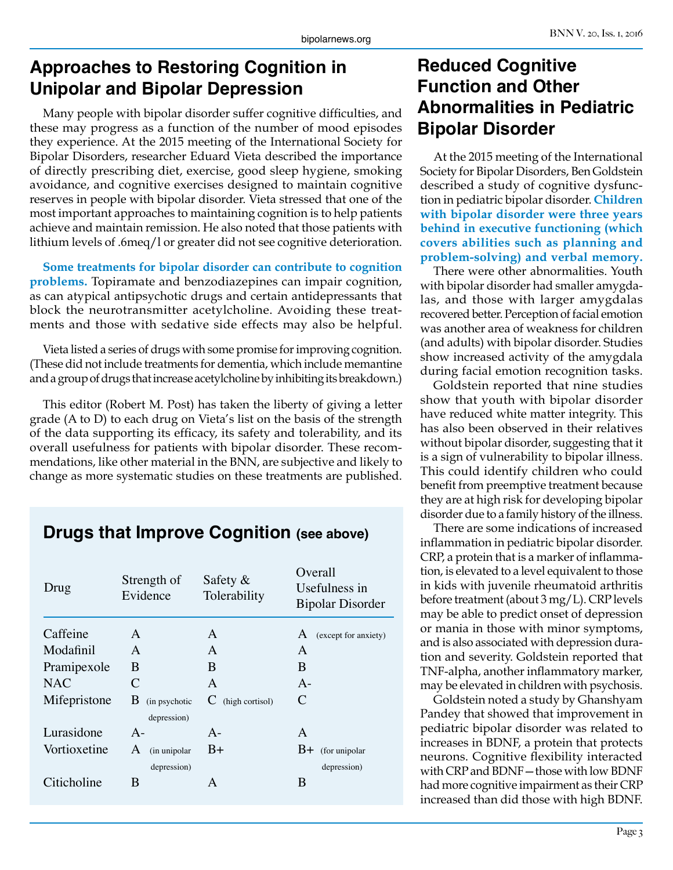#### **Approaches to Restoring Cognition in Unipolar and Bipolar Depression**

Many people with bipolar disorder suffer cognitive difficulties, and these may progress as a function of the number of mood episodes they experience. At the 2015 meeting of the International Society for Bipolar Disorders, researcher Eduard Vieta described the importance of directly prescribing diet, exercise, good sleep hygiene, smoking avoidance, and cognitive exercises designed to maintain cognitive reserves in people with bipolar disorder. Vieta stressed that one of the most important approaches to maintaining cognition is to help patients achieve and maintain remission. He also noted that those patients with lithium levels of .6meq/l or greater did not see cognitive deterioration.

**Some treatments for bipolar disorder can contribute to cognition problems.** Topiramate and benzodiazepines can impair cognition, as can atypical antipsychotic drugs and certain antidepressants that block the neurotransmitter acetylcholine. Avoiding these treatments and those with sedative side effects may also be helpful.

Vieta listed a series of drugs with some promise for improving cognition. (These did not include treatments for dementia, which include memantine and a group of drugs that increase acetylcholine by inhibiting its breakdown.)

This editor (Robert M. Post) has taken the liberty of giving a letter grade (A to D) to each drug on Vieta's list on the basis of the strength of the data supporting its efficacy, its safety and tolerability, and its overall usefulness for patients with bipolar disorder. These recommendations, like other material in the BNN, are subjective and likely to change as more systematic studies on these treatments are published.

#### **Drugs that Improve Cognition (see above)**

| Drug         | Strength of<br>Evidence | Safety $\&$<br>Tolerability | Overall<br>Usefulness in<br><b>Bipolar Disorder</b> |
|--------------|-------------------------|-----------------------------|-----------------------------------------------------|
| Caffeine     | A                       | A                           | (except for anxiety)<br>A                           |
| Modafinil    | A                       | A                           | A                                                   |
| Pramipexole  | B                       | B                           | B                                                   |
| NAC.         | C                       | A                           | $A -$                                               |
| Mifepristone | B<br>(in psychotic      | (high cortisol)<br>C        | C                                                   |
|              | depression)             |                             |                                                     |
| Lurasidone   | $A -$                   | $A -$                       | A                                                   |
| Vortioxetine | A<br>(in unipolar       | $B+$                        | $B+$<br>(for unipolar                               |
|              | depression)             |                             | depression)                                         |
| Citicholine  | B                       | A                           | B                                                   |

#### **Reduced Cognitive Function and Other Abnormalities in Pediatric Bipolar Disorder**

At the 2015 meeting of the International Society for Bipolar Disorders, Ben Goldstein described a study of cognitive dysfunction in pediatric bipolar disorder. **Children with bipolar disorder were three years behind in executive functioning (which covers abilities such as planning and problem-solving) and verbal memory.**

There were other abnormalities. Youth with bipolar disorder had smaller amygdalas, and those with larger amygdalas recovered better. Perception of facial emotion was another area of weakness for children (and adults) with bipolar disorder. Studies show increased activity of the amygdala during facial emotion recognition tasks.

Goldstein reported that nine studies show that youth with bipolar disorder have reduced white matter integrity. This has also been observed in their relatives without bipolar disorder, suggesting that it is a sign of vulnerability to bipolar illness. This could identify children who could benefit from preemptive treatment because they are at high risk for developing bipolar disorder due to a family history of the illness.

There are some indications of increased inflammation in pediatric bipolar disorder. CRP, a protein that is a marker of inflammation, is elevated to a level equivalent to those in kids with juvenile rheumatoid arthritis before treatment (about 3 mg/L). CRP levels may be able to predict onset of depression or mania in those with minor symptoms, and is also associated with depression duration and severity. Goldstein reported that TNF-alpha, another inflammatory marker, may be elevated in children with psychosis.

Goldstein noted a study by Ghanshyam Pandey that showed that improvement in pediatric bipolar disorder was related to increases in BDNF, a protein that protects neurons. Cognitive flexibility interacted with CRP and BDNF—those with low BDNF had more cognitive impairment as their CRP increased than did those with high BDNF.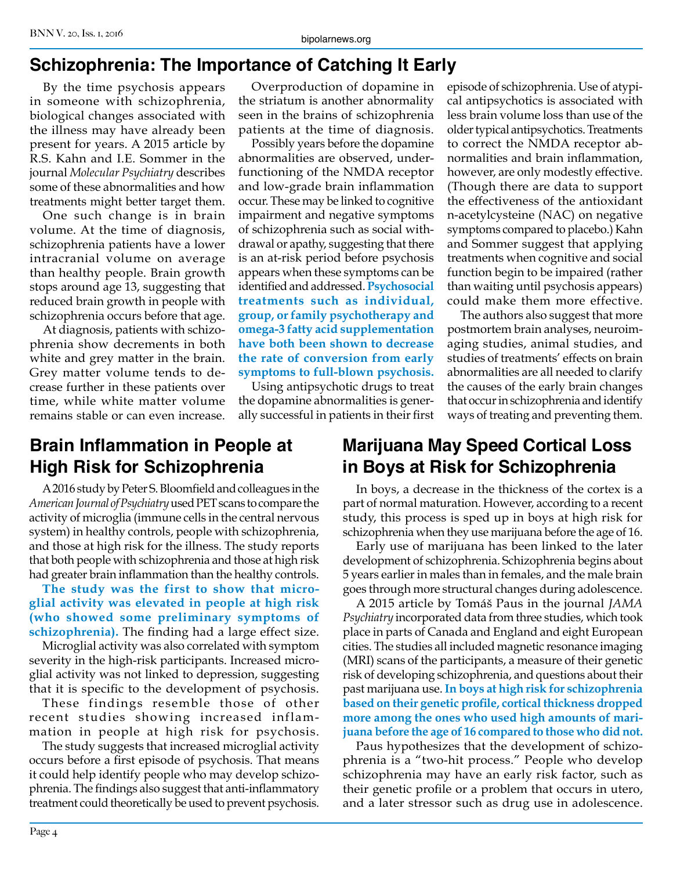# **Schizophrenia: The Importance of Catching It Early**

By the time psychosis appears in someone with schizophrenia, biological changes associated with the illness may have already been present for years. A 2015 article by R.S. Kahn and I.E. Sommer in the journal *Molecular Psychiatry* describes some of these abnormalities and how treatments might better target them.

One such change is in brain volume. At the time of diagnosis, schizophrenia patients have a lower intracranial volume on average than healthy people. Brain growth stops around age 13, suggesting that reduced brain growth in people with schizophrenia occurs before that age.

At diagnosis, patients with schizophrenia show decrements in both white and grey matter in the brain. Grey matter volume tends to decrease further in these patients over time, while white matter volume remains stable or can even increase.

Overproduction of dopamine in the striatum is another abnormality seen in the brains of schizophrenia patients at the time of diagnosis.

Possibly years before the dopamine abnormalities are observed, underfunctioning of the NMDA receptor and low-grade brain inflammation occur. These may be linked to cognitive impairment and negative symptoms of schizophrenia such as social withdrawal or apathy, suggesting that there is an at-risk period before psychosis appears when these symptoms can be identified and addressed. **Psychosocial treatments such as individual, group, or family psychotherapy and omega-3 fatty acid supplementation have both been shown to decrease the rate of conversion from early symptoms to full-blown psychosis.**

Using antipsychotic drugs to treat the dopamine abnormalities is generally successful in patients in their first episode of schizophrenia. Use of atypical antipsychotics is associated with less brain volume loss than use of the older typical antipsychotics. Treatments to correct the NMDA receptor abnormalities and brain inflammation, however, are only modestly effective. (Though there are data to support the effectiveness of the antioxidant n-acetylcysteine (NAC) on negative symptoms compared to placebo.) Kahn and Sommer suggest that applying treatments when cognitive and social function begin to be impaired (rather than waiting until psychosis appears) could make them more effective.

The authors also suggest that more postmortem brain analyses, neuroimaging studies, animal studies, and studies of treatments' effects on brain abnormalities are all needed to clarify the causes of the early brain changes that occur in schizophrenia and identify ways of treating and preventing them.

# **Brain Inflammation in People at High Risk for Schizophrenia**

A 2016 study by Peter S. Bloomfield and colleagues in the *American Journal of Psychiatry* used PET scans to compare the activity of microglia (immune cells in the central nervous system) in healthy controls, people with schizophrenia, and those at high risk for the illness. The study reports that both people with schizophrenia and those at high risk had greater brain inflammation than the healthy controls.

**The study was the first to show that microglial activity was elevated in people at high risk (who showed some preliminary symptoms of schizophrenia).** The finding had a large effect size.

Microglial activity was also correlated with symptom severity in the high-risk participants. Increased microglial activity was not linked to depression, suggesting that it is specific to the development of psychosis.

These findings resemble those of other recent studies showing increased inflammation in people at high risk for psychosis.

The study suggests that increased microglial activity occurs before a first episode of psychosis. That means it could help identify people who may develop schizophrenia. The findings also suggest that anti-inflammatory treatment could theoretically be used to prevent psychosis.

# **Marijuana May Speed Cortical Loss in Boys at Risk for Schizophrenia**

In boys, a decrease in the thickness of the cortex is a part of normal maturation. However, according to a recent study, this process is sped up in boys at high risk for schizophrenia when they use marijuana before the age of 16.

Early use of marijuana has been linked to the later development of schizophrenia. Schizophrenia begins about 5 years earlier in males than in females, and the male brain goes through more structural changes during adolescence.

A 2015 article by Tomáš Paus in the journal *JAMA Psychiatry* incorporated data from three studies, which took place in parts of Canada and England and eight European cities. The studies all included magnetic resonance imaging (MRI) scans of the participants, a measure of their genetic risk of developing schizophrenia, and questions about their past marijuana use. **In boys at high risk for schizophrenia based on their genetic profile, cortical thickness dropped more among the ones who used high amounts of marijuana before the age of 16 compared to those who did not.**

Paus hypothesizes that the development of schizophrenia is a "two-hit process." People who develop schizophrenia may have an early risk factor, such as their genetic profile or a problem that occurs in utero, and a later stressor such as drug use in adolescence.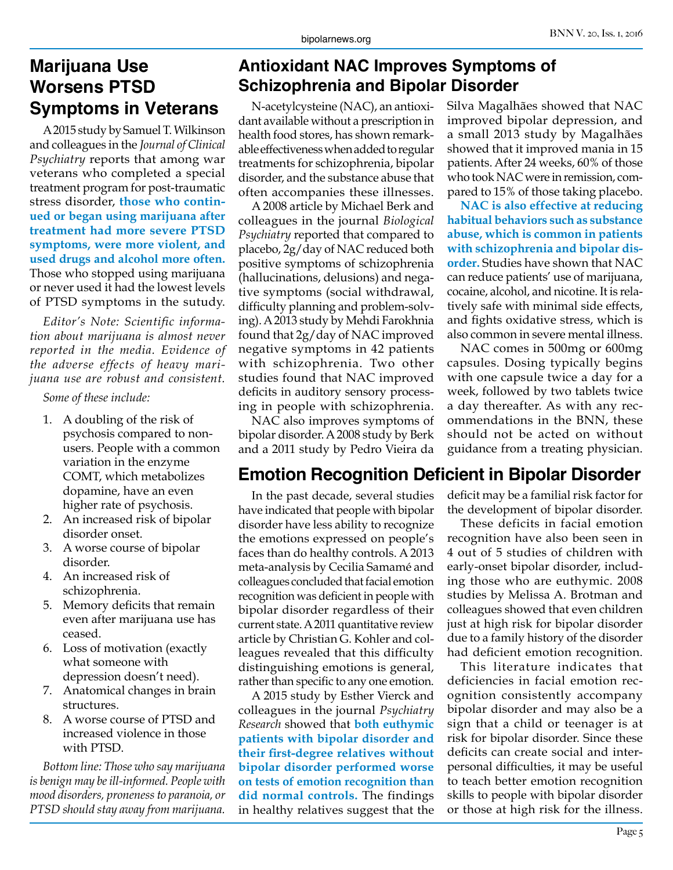## **Marijuana Use Worsens PTSD Symptoms in Veterans**

A 2015 study by Samuel T. Wilkinson and colleagues in the *Journal of Clinical Psychiatry* reports that among war veterans who completed a special treatment program for post-traumatic stress disorder, **those who continued or began using marijuana after treatment had more severe PTSD symptoms, were more violent, and used drugs and alcohol more often.**  Those who stopped using marijuana or never used it had the lowest levels of PTSD symptoms in the sutudy.

*Editor's Note: Scientific information about marijuana is almost never reported in the media. Evidence of the adverse effects of heavy marijuana use are robust and consistent.*

*Some of these include:*

- 1. A doubling of the risk of psychosis compared to nonusers. People with a common variation in the enzyme COMT, which metabolizes dopamine, have an even higher rate of psychosis.
- 2. An increased risk of bipolar disorder onset.
- 3. A worse course of bipolar disorder.
- 4. An increased risk of schizophrenia.
- 5. Memory deficits that remain even after marijuana use has ceased.
- 6. Loss of motivation (exactly what someone with depression doesn't need).
- 7. Anatomical changes in brain structures.
- 8. A worse course of PTSD and increased violence in those with PTSD.

*Bottom line: Those who say marijuana is benign may be ill-informed. People with mood disorders, proneness to paranoia, or PTSD should stay away from marijuana.*

# **Antioxidant NAC Improves Symptoms of Schizophrenia and Bipolar Disorder**

N-acetylcysteine (NAC), an antioxidant available without a prescription in health food stores, has shown remarkable effectiveness when added to regular treatments for schizophrenia, bipolar disorder, and the substance abuse that often accompanies these illnesses.

A 2008 article by Michael Berk and colleagues in the journal *Biological Psychiatry* reported that compared to placebo, 2g/day of NAC reduced both positive symptoms of schizophrenia (hallucinations, delusions) and negative symptoms (social withdrawal, difficulty planning and problem-solving). A 2013 study by Mehdi Farokhnia found that 2g/day of NAC improved negative symptoms in 42 patients with schizophrenia. Two other studies found that NAC improved deficits in auditory sensory processing in people with schizophrenia.

NAC also improves symptoms of bipolar disorder. A 2008 study by Berk and a 2011 study by Pedro Vieira da Silva Magalhães showed that NAC improved bipolar depression, and a small 2013 study by Magalhães showed that it improved mania in 15 patients. After 24 weeks, 60% of those who took NAC were in remission, compared to 15% of those taking placebo.

**NAC is also effective at reducing habitual behaviors such as substance abuse, which is common in patients with schizophrenia and bipolar disorder.** Studies have shown that NAC can reduce patients' use of marijuana, cocaine, alcohol, and nicotine. It is relatively safe with minimal side effects, and fights oxidative stress, which is also common in severe mental illness.

NAC comes in 500mg or 600mg capsules. Dosing typically begins with one capsule twice a day for a week, followed by two tablets twice a day thereafter. As with any recommendations in the BNN, these should not be acted on without guidance from a treating physician.

# **Emotion Recognition Deficient in Bipolar Disorder**

In the past decade, several studies have indicated that people with bipolar disorder have less ability to recognize the emotions expressed on people's faces than do healthy controls. A 2013 meta-analysis by Cecilia Samamé and colleagues concluded that facial emotion recognition was deficient in people with bipolar disorder regardless of their current state. A 2011 quantitative review article by Christian G. Kohler and colleagues revealed that this difficulty distinguishing emotions is general, rather than specific to any one emotion.

A 2015 study by Esther Vierck and colleagues in the journal *Psychiatry Research* showed that **both euthymic patients with bipolar disorder and their first-degree relatives without bipolar disorder performed worse on tests of emotion recognition than did normal controls.** The findings in healthy relatives suggest that the deficit may be a familial risk factor for the development of bipolar disorder.

These deficits in facial emotion recognition have also been seen in 4 out of 5 studies of children with early-onset bipolar disorder, including those who are euthymic. 2008 studies by Melissa A. Brotman and colleagues showed that even children just at high risk for bipolar disorder due to a family history of the disorder had deficient emotion recognition.

This literature indicates that deficiencies in facial emotion recognition consistently accompany bipolar disorder and may also be a sign that a child or teenager is at risk for bipolar disorder. Since these deficits can create social and interpersonal difficulties, it may be useful to teach better emotion recognition skills to people with bipolar disorder or those at high risk for the illness.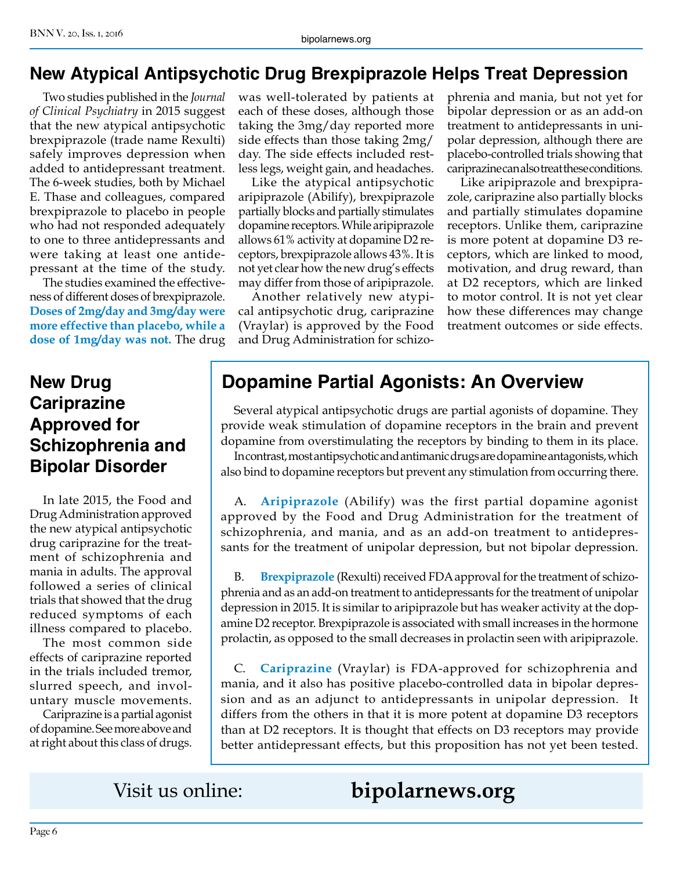## **New Atypical Antipsychotic Drug Brexpiprazole Helps Treat Depression**

Two studies published in the *Journal of Clinical Psychiatry* in 2015 suggest that the new atypical antipsychotic brexpiprazole (trade name Rexulti) safely improves depression when added to antidepressant treatment. The 6-week studies, both by Michael E. Thase and colleagues, compared brexpiprazole to placebo in people who had not responded adequately to one to three antidepressants and were taking at least one antidepressant at the time of the study.

The studies examined the effectiveness of different doses of brexpiprazole. **Doses of 2mg/day and 3mg/day were more effective than placebo, while a dose of 1mg/day was not.** The drug

# **New Drug Cariprazine Approved for Schizophrenia and Bipolar Disorder**

In late 2015, the Food and Drug Administration approved the new atypical antipsychotic drug cariprazine for the treatment of schizophrenia and mania in adults. The approval followed a series of clinical trials that showed that the drug reduced symptoms of each illness compared to placebo.

The most common side effects of cariprazine reported in the trials included tremor, slurred speech, and involuntary muscle movements.

Cariprazine is a partial agonist of dopamine. See more above and at right about this class of drugs.

was well-tolerated by patients at each of these doses, although those taking the 3mg/day reported more side effects than those taking 2mg/ day. The side effects included restless legs, weight gain, and headaches.

Like the atypical antipsychotic aripiprazole (Abilify), brexpiprazole partially blocks and partially stimulates dopamine receptors. While aripiprazole allows 61% activity at dopamine D2 receptors, brexpiprazole allows 43%. It is not yet clear how the new drug's effects may differ from those of aripiprazole.

Another relatively new atypical antipsychotic drug, cariprazine (Vraylar) is approved by the Food and Drug Administration for schizophrenia and mania, but not yet for bipolar depression or as an add-on treatment to antidepressants in unipolar depression, although there are placebo-controlled trials showing that cariprazine can also treat these conditions.

Like aripiprazole and brexpiprazole, cariprazine also partially blocks and partially stimulates dopamine receptors. Unlike them, cariprazine is more potent at dopamine D3 receptors, which are linked to mood, motivation, and drug reward, than at D2 receptors, which are linked to motor control. It is not yet clear how these differences may change treatment outcomes or side effects.

# **Dopamine Partial Agonists: An Overview**

Several atypical antipsychotic drugs are partial agonists of dopamine. They provide weak stimulation of dopamine receptors in the brain and prevent dopamine from overstimulating the receptors by binding to them in its place. In contrast, most antipsychotic and antimanic drugs are dopamine antagonists, which also bind to dopamine receptors but prevent any stimulation from occurring there.

A. **Aripiprazole** (Abilify) was the first partial dopamine agonist approved by the Food and Drug Administration for the treatment of schizophrenia, and mania, and as an add-on treatment to antidepressants for the treatment of unipolar depression, but not bipolar depression.

B. **Brexpiprazole** (Rexulti) received FDA approval for the treatment of schizophrenia and as an add-on treatment to antidepressants for the treatment of unipolar depression in 2015. It is similar to aripiprazole but has weaker activity at the dopamine D2 receptor. Brexpiprazole is associated with small increases in the hormone prolactin, as opposed to the small decreases in prolactin seen with aripiprazole.

C. **Cariprazine** (Vraylar) is FDA-approved for schizophrenia and mania, and it also has positive placebo-controlled data in bipolar depression and as an adjunct to antidepressants in unipolar depression. It differs from the others in that it is more potent at dopamine D3 receptors than at D2 receptors. It is thought that effects on D3 receptors may provide better antidepressant effects, but this proposition has not yet been tested.

# Visit us online: **bipolarnews.org**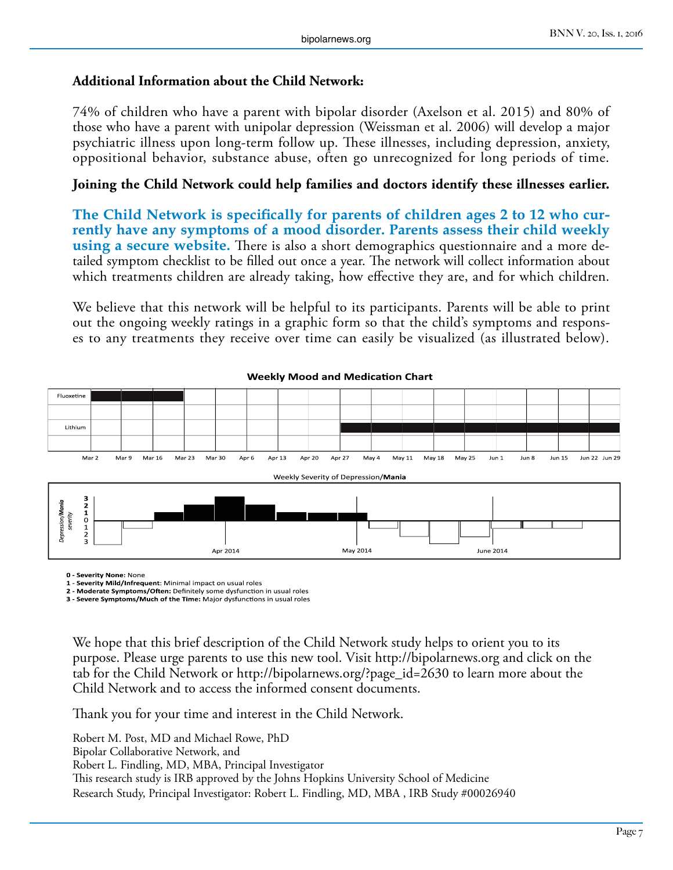#### **Additional Information about the Child Network:**

74% of children who have a parent with bipolar disorder (Axelson et al. 2015) and 80% of those who have a parent with unipolar depression (Weissman et al. 2006) will develop a major psychiatric illness upon long-term follow up. These illnesses, including depression, anxiety, oppositional behavior, substance abuse, often go unrecognized for long periods of time.

#### **Joining the Child Network could help families and doctors identify these illnesses earlier.**

**The Child Network is specifically for parents of children ages 2 to 12 who currently have any symptoms of a mood disorder. Parents assess their child weekly using a secure website.** There is also a short demographics questionnaire and a more detailed symptom checklist to be filled out once a year. The network will collect information about which treatments children are already taking, how effective they are, and for which children.

We believe that this network will be helpful to its participants. Parents will be able to print out the ongoing weekly ratings in a graphic form so that the child's symptoms and responses to any treatments they receive over time can easily be visualized (as illustrated below).



#### **Weekly Mood and Medication Chart**

**0 - Severity None:** None

**1 - Severity Mild/Infrequent**: Minimal impact on usual roles

**2 - Moderate Symptoms/Often:** Definitely some dysfunction in usual roles **3 - Severe Symptoms/Much of the Time:** Major dysfunctions in usual roles

We hope that this brief description of the Child Network study helps to orient you to its purpose. Please urge parents to use this new tool. Visit http://bipolarnews.org and click on the tab for the Child Network or http://bipolarnews.org/?page\_id=2630 to learn more about the Child Network and to access the informed consent documents.

Thank you for your time and interest in the Child Network.

Robert M. Post, MD and Michael Rowe, PhD Bipolar Collaborative Network, and Robert L. Findling, MD, MBA, Principal Investigator This research study is IRB approved by the Johns Hopkins University School of Medicine Research Study, Principal Investigator: Robert L. Findling, MD, MBA , IRB Study #00026940